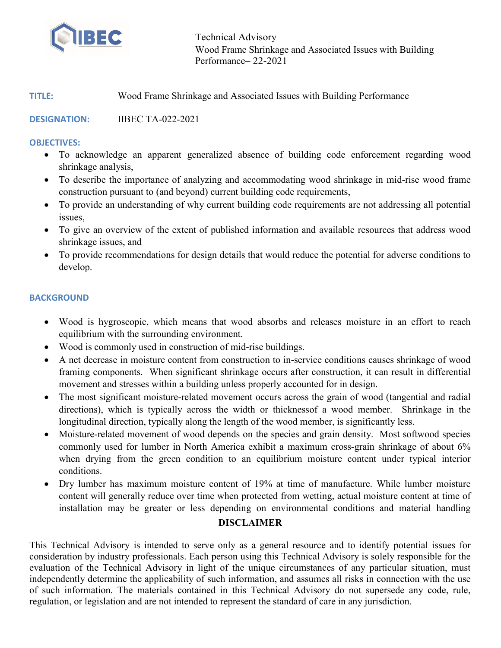

Technical Advisory Wood Frame Shrinkage and Associated Issues with Building Performance– 22-2021

# TITLE: Wood Frame Shrinkage and Associated Issues with Building Performance

## DESIGNATION: IIBEC TA-022-2021

#### OBJECTIVES:

- To acknowledge an apparent generalized absence of building code enforcement regarding wood shrinkage analysis,
- To describe the importance of analyzing and accommodating wood shrinkage in mid-rise wood frame construction pursuant to (and beyond) current building code requirements,
- To provide an understanding of why current building code requirements are not addressing all potential issues,
- To give an overview of the extent of published information and available resources that address wood shrinkage issues, and
- To provide recommendations for design details that would reduce the potential for adverse conditions to develop.

#### **BACKGROUND**

- Wood is hygroscopic, which means that wood absorbs and releases moisture in an effort to reach equilibrium with the surrounding environment.
- Wood is commonly used in construction of mid-rise buildings.
- A net decrease in moisture content from construction to in-service conditions causes shrinkage of wood framing components. When significant shrinkage occurs after construction, it can result in differential movement and stresses within a building unless properly accounted for in design.
- The most significant moisture-related movement occurs across the grain of wood (tangential and radial directions), which is typically across the width or thicknessof a wood member. Shrinkage in the longitudinal direction, typically along the length of the wood member, is significantly less.
- Moisture-related movement of wood depends on the species and grain density. Most softwood species commonly used for lumber in North America exhibit a maximum cross-grain shrinkage of about 6% when drying from the green condition to an equilibrium moisture content under typical interior conditions.
- Dry lumber has maximum moisture content of 19% at time of manufacture. While lumber moisture content will generally reduce over time when protected from wetting, actual moisture content at time of installation may be greater or less depending on environmental conditions and material handling

## DISCLAIMER

This Technical Advisory is intended to serve only as a general resource and to identify potential issues for consideration by industry professionals. Each person using this Technical Advisory is solely responsible for the evaluation of the Technical Advisory in light of the unique circumstances of any particular situation, must independently determine the applicability of such information, and assumes all risks in connection with the use of such information. The materials contained in this Technical Advisory do not supersede any code, rule, regulation, or legislation and are not intended to represent the standard of care in any jurisdiction.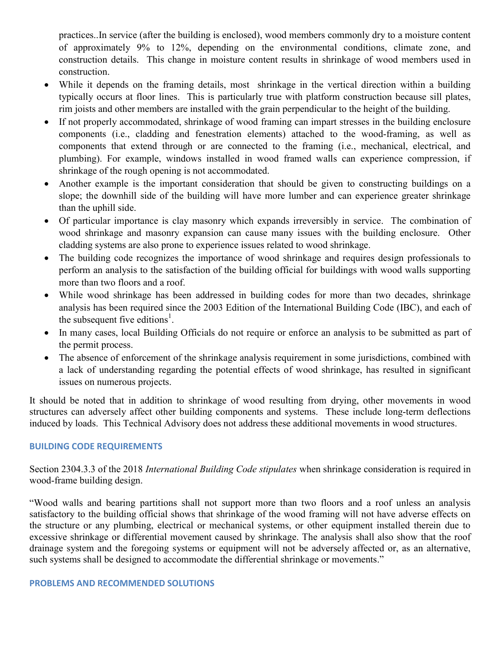practices..In service (after the building is enclosed), wood members commonly dry to a moisture content of approximately 9% to 12%, depending on the environmental conditions, climate zone, and construction details. This change in moisture content results in shrinkage of wood members used in construction.

- While it depends on the framing details, most shrinkage in the vertical direction within a building typically occurs at floor lines. This is particularly true with platform construction because sill plates, rim joists and other members are installed with the grain perpendicular to the height of the building.
- If not properly accommodated, shrinkage of wood framing can impart stresses in the building enclosure components (i.e., cladding and fenestration elements) attached to the wood-framing, as well as components that extend through or are connected to the framing (i.e., mechanical, electrical, and plumbing). For example, windows installed in wood framed walls can experience compression, if shrinkage of the rough opening is not accommodated.
- Another example is the important consideration that should be given to constructing buildings on a slope; the downhill side of the building will have more lumber and can experience greater shrinkage than the uphill side.
- Of particular importance is clay masonry which expands irreversibly in service. The combination of wood shrinkage and masonry expansion can cause many issues with the building enclosure. Other cladding systems are also prone to experience issues related to wood shrinkage.
- The building code recognizes the importance of wood shrinkage and requires design professionals to perform an analysis to the satisfaction of the building official for buildings with wood walls supporting more than two floors and a roof.
- While wood shrinkage has been addressed in building codes for more than two decades, shrinkage analysis has been required since the 2003 Edition of the International Building Code (IBC), and each of the subsequent five editions<sup>1</sup>.
- In many cases, local Building Officials do not require or enforce an analysis to be submitted as part of the permit process.
- The absence of enforcement of the shrinkage analysis requirement in some jurisdictions, combined with a lack of understanding regarding the potential effects of wood shrinkage, has resulted in significant issues on numerous projects.

It should be noted that in addition to shrinkage of wood resulting from drying, other movements in wood structures can adversely affect other building components and systems. These include long-term deflections induced by loads. This Technical Advisory does not address these additional movements in wood structures.

## BUILDING CODE REQUIREMENTS

Section 2304.3.3 of the 2018 International Building Code stipulates when shrinkage consideration is required in wood-frame building design.

"Wood walls and bearing partitions shall not support more than two floors and a roof unless an analysis satisfactory to the building official shows that shrinkage of the wood framing will not have adverse effects on the structure or any plumbing, electrical or mechanical systems, or other equipment installed therein due to excessive shrinkage or differential movement caused by shrinkage. The analysis shall also show that the roof drainage system and the foregoing systems or equipment will not be adversely affected or, as an alternative, such systems shall be designed to accommodate the differential shrinkage or movements."

#### PROBLEMS AND RECOMMENDED SOLUTIONS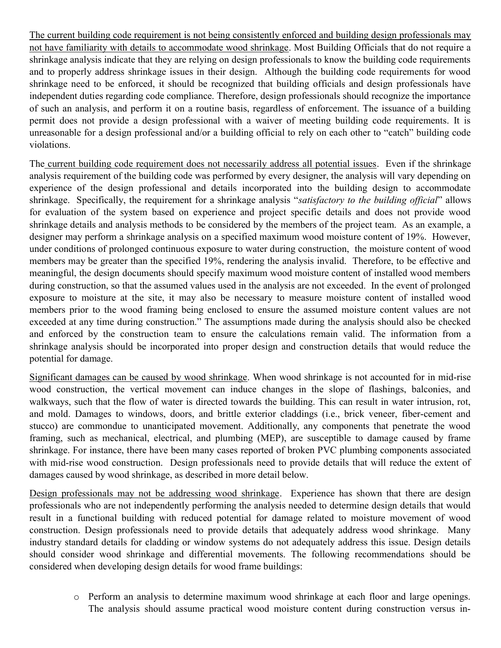The current building code requirement is not being consistently enforced and building design professionals may not have familiarity with details to accommodate wood shrinkage. Most Building Officials that do not require a shrinkage analysis indicate that they are relying on design professionals to know the building code requirements and to properly address shrinkage issues in their design. Although the building code requirements for wood shrinkage need to be enforced, it should be recognized that building officials and design professionals have independent duties regarding code compliance. Therefore, design professionals should recognize the importance of such an analysis, and perform it on a routine basis, regardless of enforcement. The issuance of a building permit does not provide a design professional with a waiver of meeting building code requirements. It is unreasonable for a design professional and/or a building official to rely on each other to "catch" building code violations.

The current building code requirement does not necessarily address all potential issues. Even if the shrinkage analysis requirement of the building code was performed by every designer, the analysis will vary depending on experience of the design professional and details incorporated into the building design to accommodate shrinkage. Specifically, the requirement for a shrinkage analysis "satisfactory to the building official" allows for evaluation of the system based on experience and project specific details and does not provide wood shrinkage details and analysis methods to be considered by the members of the project team. As an example, a designer may perform a shrinkage analysis on a specified maximum wood moisture content of 19%. However, under conditions of prolonged continuous exposure to water during construction, the moisture content of wood members may be greater than the specified 19%, rendering the analysis invalid. Therefore, to be effective and meaningful, the design documents should specify maximum wood moisture content of installed wood members during construction, so that the assumed values used in the analysis are not exceeded. In the event of prolonged exposure to moisture at the site, it may also be necessary to measure moisture content of installed wood members prior to the wood framing being enclosed to ensure the assumed moisture content values are not exceeded at any time during construction." The assumptions made during the analysis should also be checked and enforced by the construction team to ensure the calculations remain valid. The information from a shrinkage analysis should be incorporated into proper design and construction details that would reduce the potential for damage.

Significant damages can be caused by wood shrinkage. When wood shrinkage is not accounted for in mid-rise wood construction, the vertical movement can induce changes in the slope of flashings, balconies, and walkways, such that the flow of water is directed towards the building. This can result in water intrusion, rot, and mold. Damages to windows, doors, and brittle exterior claddings (i.e., brick veneer, fiber-cement and stucco) are commondue to unanticipated movement. Additionally, any components that penetrate the wood framing, such as mechanical, electrical, and plumbing (MEP), are susceptible to damage caused by frame shrinkage. For instance, there have been many cases reported of broken PVC plumbing components associated with mid-rise wood construction. Design professionals need to provide details that will reduce the extent of damages caused by wood shrinkage, as described in more detail below.

Design professionals may not be addressing wood shrinkage. Experience has shown that there are design professionals who are not independently performing the analysis needed to determine design details that would result in a functional building with reduced potential for damage related to moisture movement of wood construction. Design professionals need to provide details that adequately address wood shrinkage. Many industry standard details for cladding or window systems do not adequately address this issue. Design details should consider wood shrinkage and differential movements. The following recommendations should be considered when developing design details for wood frame buildings:

> o Perform an analysis to determine maximum wood shrinkage at each floor and large openings. The analysis should assume practical wood moisture content during construction versus in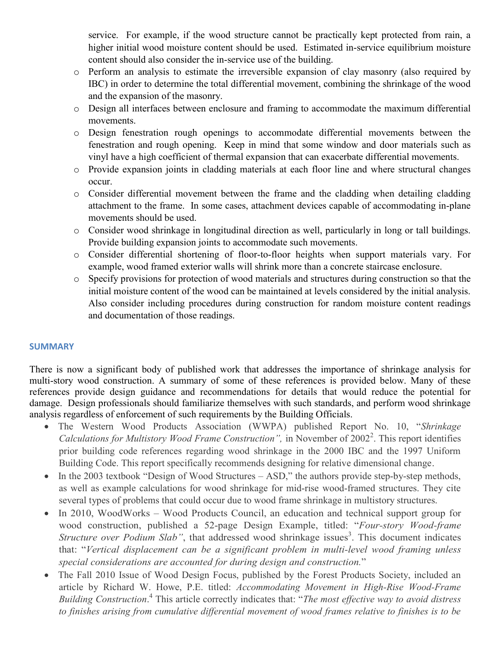service. For example, if the wood structure cannot be practically kept protected from rain, a higher initial wood moisture content should be used. Estimated in-service equilibrium moisture content should also consider the in-service use of the building.

- o Perform an analysis to estimate the irreversible expansion of clay masonry (also required by IBC) in order to determine the total differential movement, combining the shrinkage of the wood and the expansion of the masonry.
- o Design all interfaces between enclosure and framing to accommodate the maximum differential movements.
- o Design fenestration rough openings to accommodate differential movements between the fenestration and rough opening. Keep in mind that some window and door materials such as vinyl have a high coefficient of thermal expansion that can exacerbate differential movements.
- o Provide expansion joints in cladding materials at each floor line and where structural changes occur.
- o Consider differential movement between the frame and the cladding when detailing cladding attachment to the frame. In some cases, attachment devices capable of accommodating in-plane movements should be used.
- o Consider wood shrinkage in longitudinal direction as well, particularly in long or tall buildings. Provide building expansion joints to accommodate such movements.
- o Consider differential shortening of floor-to-floor heights when support materials vary. For example, wood framed exterior walls will shrink more than a concrete staircase enclosure.
- o Specify provisions for protection of wood materials and structures during construction so that the initial moisture content of the wood can be maintained at levels considered by the initial analysis. Also consider including procedures during construction for random moisture content readings and documentation of those readings.

## **SUMMARY**

There is now a significant body of published work that addresses the importance of shrinkage analysis for multi-story wood construction. A summary of some of these references is provided below. Many of these references provide design guidance and recommendations for details that would reduce the potential for damage. Design professionals should familiarize themselves with such standards, and perform wood shrinkage analysis regardless of enforcement of such requirements by the Building Officials.

- The Western Wood Products Association (WWPA) published Report No. 10, "Shrinkage Calculations for Multistory Wood Frame Construction", in November of  $2002^2$ . This report identifies prior building code references regarding wood shrinkage in the 2000 IBC and the 1997 Uniform Building Code. This report specifically recommends designing for relative dimensional change.
- In the 2003 textbook "Design of Wood Structures ASD," the authors provide step-by-step methods, as well as example calculations for wood shrinkage for mid-rise wood-framed structures. They cite several types of problems that could occur due to wood frame shrinkage in multistory structures.
- In 2010, WoodWorks Wood Products Council, an education and technical support group for wood construction, published a 52-page Design Example, titled: "Four-story Wood-frame Structure over Podium Slab", that addressed wood shrinkage issues<sup>3</sup>. This document indicates that: "Vertical displacement can be a significant problem in multi-level wood framing unless special considerations are accounted for during design and construction."
- The Fall 2010 Issue of Wood Design Focus, published by the Forest Products Society, included an article by Richard W. Howe, P.E. titled: Accommodating Movement in High-Rise Wood-Frame Building Construction.<sup>4</sup> This article correctly indicates that: "The most effective way to avoid distress to finishes arising from cumulative differential movement of wood frames relative to finishes is to be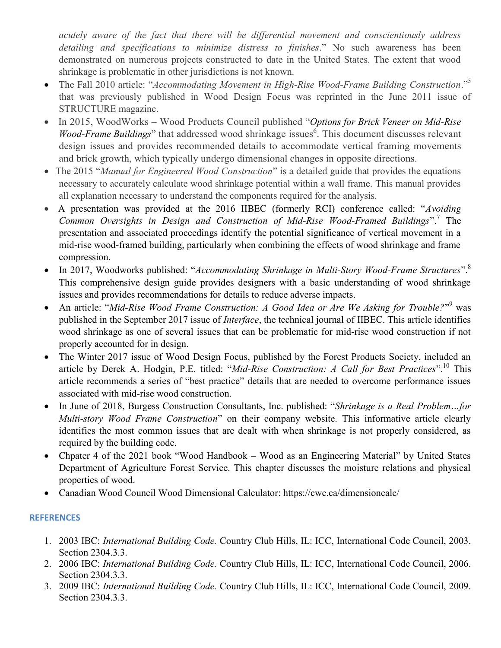acutely aware of the fact that there will be differential movement and conscientiously address detailing and specifications to minimize distress to finishes." No such awareness has been demonstrated on numerous projects constructed to date in the United States. The extent that wood shrinkage is problematic in other jurisdictions is not known.

- The Fall 2010 article: "Accommodating Movement in High-Rise Wood-Frame Building Construction."<sup>5</sup> that was previously published in Wood Design Focus was reprinted in the June 2011 issue of STRUCTURE magazine.
- In 2015, WoodWorks Wood Products Council published "Options for Brick Veneer on Mid-Rise" *Wood-Frame Buildings*" that addressed wood shrinkage issues<sup>6</sup>. This document discusses relevant design issues and provides recommended details to accommodate vertical framing movements and brick growth, which typically undergo dimensional changes in opposite directions.
- The 2015 "Manual for Engineered Wood Construction" is a detailed guide that provides the equations necessary to accurately calculate wood shrinkage potential within a wall frame. This manual provides all explanation necessary to understand the components required for the analysis.
- A presentation was provided at the 2016 IIBEC (formerly RCI) conference called: "Avoiding Common Oversights in Design and Construction of Mid-Rise Wood-Framed Buildings".<sup>7</sup> The presentation and associated proceedings identify the potential significance of vertical movement in a mid-rise wood-framed building, particularly when combining the effects of wood shrinkage and frame compression.
- In 2017, Woodworks published: "Accommodating Shrinkage in Multi-Story Wood-Frame Structures".<sup>8</sup> This comprehensive design guide provides designers with a basic understanding of wood shrinkage issues and provides recommendations for details to reduce adverse impacts.
- An article: "Mid-Rise Wood Frame Construction: A Good Idea or Are We Asking for Trouble?"<sup>9</sup> was published in the September 2017 issue of Interface, the technical journal of IIBEC. This article identifies wood shrinkage as one of several issues that can be problematic for mid-rise wood construction if not properly accounted for in design.
- The Winter 2017 issue of Wood Design Focus, published by the Forest Products Society, included an article by Derek A. Hodgin, P.E. titled: "Mid-Rise Construction: A Call for Best Practices".<sup>10</sup> This article recommends a series of "best practice" details that are needed to overcome performance issues associated with mid-rise wood construction.
- In June of 2018, Burgess Construction Consultants, Inc. published: "Shrinkage is a Real Problem…for Multi-story Wood Frame Construction" on their company website. This informative article clearly identifies the most common issues that are dealt with when shrinkage is not properly considered, as required by the building code.
- Chpater 4 of the 2021 book "Wood Handbook Wood as an Engineering Material" by United States Department of Agriculture Forest Service. This chapter discusses the moisture relations and physical properties of wood.
- Canadian Wood Council Wood Dimensional Calculator: https://cwc.ca/dimensioncalc/

# **REFERENCES**

- 1. 2003 IBC: International Building Code. Country Club Hills, IL: ICC, International Code Council, 2003. Section 2304.3.3.
- 2. 2006 IBC: International Building Code. Country Club Hills, IL: ICC, International Code Council, 2006. Section 2304.3.3.
- 3. 2009 IBC: International Building Code. Country Club Hills, IL: ICC, International Code Council, 2009. Section 2304.3.3.